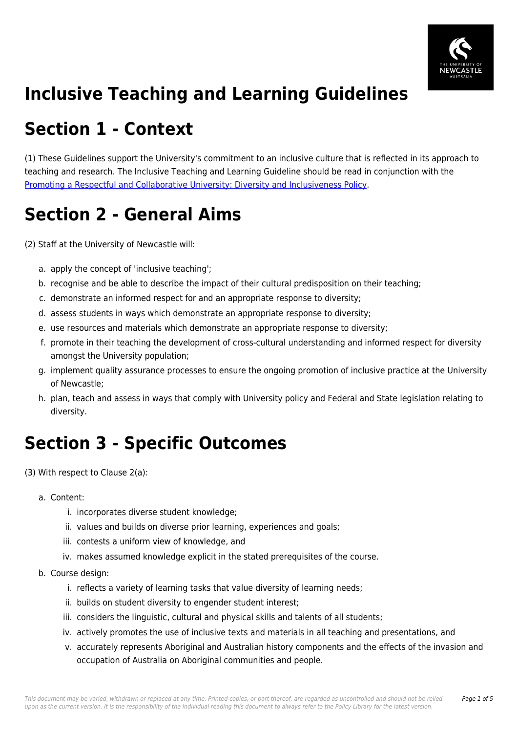

# **Inclusive Teaching and Learning Guidelines**

## **Section 1 - Context**

(1) These Guidelines support the University's commitment to an inclusive culture that is reflected in its approach to teaching and research. The Inclusive Teaching and Learning Guideline should be read in conjunction with the [Promoting a Respectful and Collaborative University: Diversity and Inclusiveness Policy.](https://policies.newcastle.edu.au/document/view-current.php?id=88)

## **Section 2 - General Aims**

(2) Staff at the University of Newcastle will:

- a. apply the concept of 'inclusive teaching';
- b. recognise and be able to describe the impact of their cultural predisposition on their teaching;
- c. demonstrate an informed respect for and an appropriate response to diversity;
- d. assess students in ways which demonstrate an appropriate response to diversity;
- e. use resources and materials which demonstrate an appropriate response to diversity;
- f. promote in their teaching the development of cross-cultural understanding and informed respect for diversity amongst the University population;
- g. implement quality assurance processes to ensure the ongoing promotion of inclusive practice at the University of Newcastle;
- h. plan, teach and assess in ways that comply with University policy and Federal and State legislation relating to diversity.

# **Section 3 - Specific Outcomes**

(3) With respect to Clause 2(a):

#### a. Content:

- i. incorporates diverse student knowledge;
- ii. values and builds on diverse prior learning, experiences and goals;
- iii. contests a uniform view of knowledge, and
- iv. makes assumed knowledge explicit in the stated prerequisites of the course.
- b. Course design:
	- i. reflects a variety of learning tasks that value diversity of learning needs;
	- ii. builds on student diversity to engender student interest;
	- iii. considers the linguistic, cultural and physical skills and talents of all students;
	- iv. actively promotes the use of inclusive texts and materials in all teaching and presentations, and
	- v. accurately represents Aboriginal and Australian history components and the effects of the invasion and occupation of Australia on Aboriginal communities and people.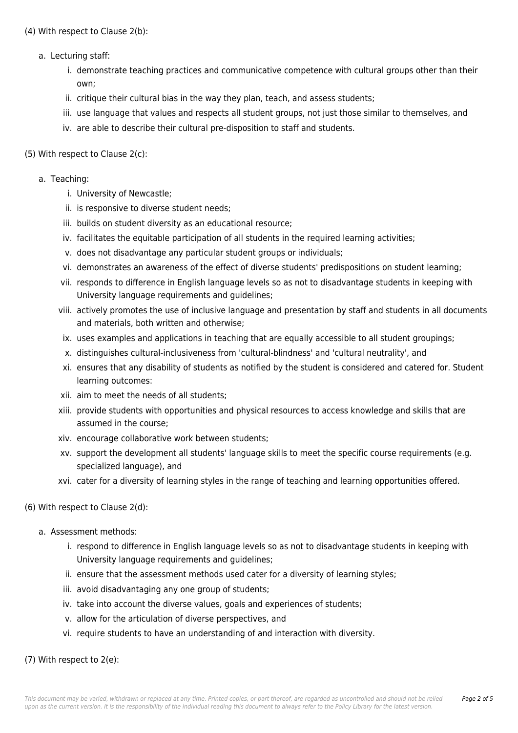(4) With respect to Clause 2(b):

- a. Lecturing staff:
	- i. demonstrate teaching practices and communicative competence with cultural groups other than their own;
	- ii. critique their cultural bias in the way they plan, teach, and assess students;
	- iii. use language that values and respects all student groups, not just those similar to themselves, and
	- iv. are able to describe their cultural pre-disposition to staff and students.

#### (5) With respect to Clause 2(c):

#### a. Teaching:

- i. University of Newcastle;
- ii. is responsive to diverse student needs;
- iii. builds on student diversity as an educational resource;
- iv. facilitates the equitable participation of all students in the required learning activities;
- v. does not disadvantage any particular student groups or individuals;
- vi. demonstrates an awareness of the effect of diverse students' predispositions on student learning;
- vii. responds to difference in English language levels so as not to disadvantage students in keeping with University language requirements and guidelines;
- viii. actively promotes the use of inclusive language and presentation by staff and students in all documents and materials, both written and otherwise;
- ix. uses examples and applications in teaching that are equally accessible to all student groupings;
- x. distinguishes cultural-inclusiveness from 'cultural-blindness' and 'cultural neutrality', and
- xi. ensures that any disability of students as notified by the student is considered and catered for. Student learning outcomes:
- xii. aim to meet the needs of all students;
- xiii. provide students with opportunities and physical resources to access knowledge and skills that are assumed in the course;
- xiv. encourage collaborative work between students;
- xv. support the development all students' language skills to meet the specific course requirements (e.g. specialized language), and
- xvi. cater for a diversity of learning styles in the range of teaching and learning opportunities offered.

#### (6) With respect to Clause 2(d):

- a. Assessment methods:
	- i. respond to difference in English language levels so as not to disadvantage students in keeping with University language requirements and guidelines;
	- ii. ensure that the assessment methods used cater for a diversity of learning styles;
	- iii. avoid disadvantaging any one group of students;
	- iv. take into account the diverse values, goals and experiences of students;
	- v. allow for the articulation of diverse perspectives, and
	- vi. require students to have an understanding of and interaction with diversity.

#### (7) With respect to 2(e):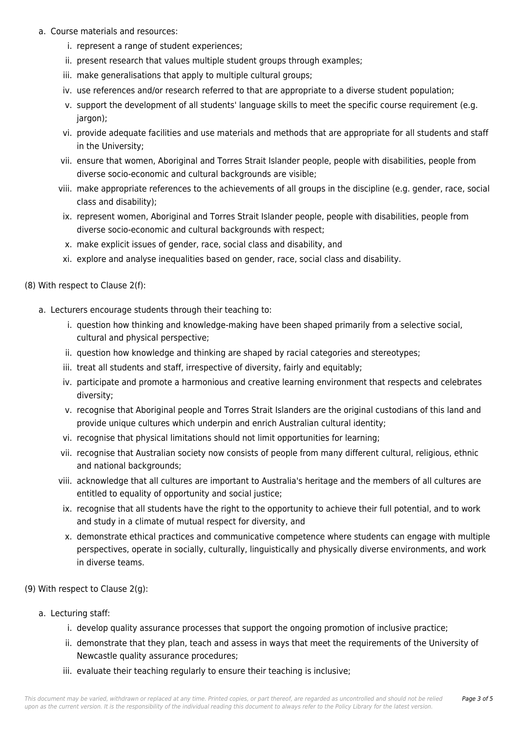- a. Course materials and resources:
	- i. represent a range of student experiences;
	- ii. present research that values multiple student groups through examples;
	- iii. make generalisations that apply to multiple cultural groups:
	- iv. use references and/or research referred to that are appropriate to a diverse student population;
	- v. support the development of all students' language skills to meet the specific course requirement (e.g. jargon);
	- vi. provide adequate facilities and use materials and methods that are appropriate for all students and staff in the University;
	- vii. ensure that women, Aboriginal and Torres Strait Islander people, people with disabilities, people from diverse socio-economic and cultural backgrounds are visible;
	- viii. make appropriate references to the achievements of all groups in the discipline (e.g. gender, race, social class and disability);
	- ix. represent women, Aboriginal and Torres Strait Islander people, people with disabilities, people from diverse socio-economic and cultural backgrounds with respect;
	- x. make explicit issues of gender, race, social class and disability, and
	- xi. explore and analyse inequalities based on gender, race, social class and disability.

(8) With respect to Clause 2(f):

- a. Lecturers encourage students through their teaching to:
	- i. question how thinking and knowledge-making have been shaped primarily from a selective social, cultural and physical perspective;
	- ii. question how knowledge and thinking are shaped by racial categories and stereotypes;
	- iii. treat all students and staff, irrespective of diversity, fairly and equitably;
	- iv. participate and promote a harmonious and creative learning environment that respects and celebrates diversity;
	- v. recognise that Aboriginal people and Torres Strait Islanders are the original custodians of this land and provide unique cultures which underpin and enrich Australian cultural identity;
	- vi. recognise that physical limitations should not limit opportunities for learning;
	- vii. recognise that Australian society now consists of people from many different cultural, religious, ethnic and national backgrounds;
	- viii. acknowledge that all cultures are important to Australia's heritage and the members of all cultures are entitled to equality of opportunity and social justice;
	- ix. recognise that all students have the right to the opportunity to achieve their full potential, and to work and study in a climate of mutual respect for diversity, and
	- x. demonstrate ethical practices and communicative competence where students can engage with multiple perspectives, operate in socially, culturally, linguistically and physically diverse environments, and work in diverse teams.
- (9) With respect to Clause 2(g):
	- a. Lecturing staff:
		- i. develop quality assurance processes that support the ongoing promotion of inclusive practice;
		- ii. demonstrate that they plan, teach and assess in ways that meet the requirements of the University of Newcastle quality assurance procedures;
		- iii. evaluate their teaching regularly to ensure their teaching is inclusive;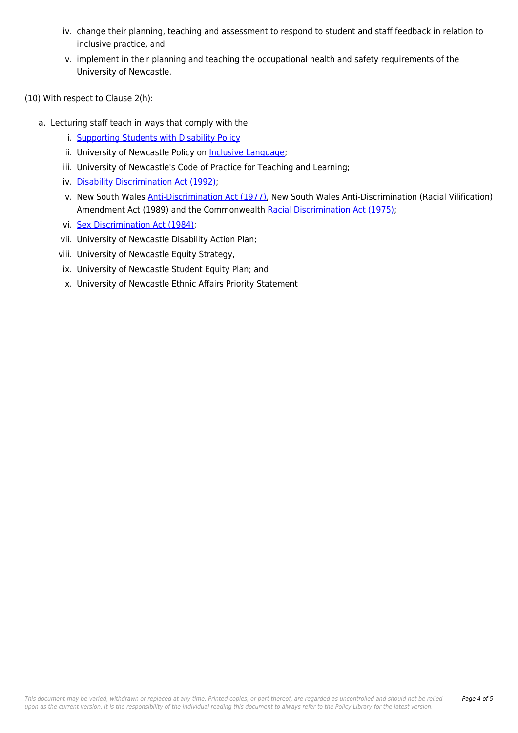- iv. change their planning, teaching and assessment to respond to student and staff feedback in relation to inclusive practice, and
- v. implement in their planning and teaching the occupational health and safety requirements of the University of Newcastle.

(10) With respect to Clause 2(h):

- a. Lecturing staff teach in ways that comply with the:
	- i. [Supporting Students with Disability Policy](https://policies.newcastle.edu.au/document/view-current.php?id=27)
	- ii. University of Newcastle Policy on [Inclusive Language](https://policies.newcastle.edu.au/document/view-current.php?id=139);
	- iii. University of Newcastle's Code of Practice for Teaching and Learning;
	- iv. [Disability Discrimination Act \(1992\)](https://policies.newcastle.edu.au/directory-summary.php?legislation=9);
	- v. New South Wales [Anti-Discrimination Act \(1977\)](https://policies.newcastle.edu.au/directory-summary.php?legislation=1), New South Wales Anti-Discrimination (Racial Vilification) Amendment Act (1989) and the Commonwealth [Racial Discrimination Act \(1975\)](https://policies.newcastle.edu.au/directory-summary.php?legislation=6);
	- vi. [Sex Discrimination Act \(1984\);](https://policies.newcastle.edu.au/directory-summary.php?legislation=8)
	- vii. University of Newcastle Disability Action Plan;
	- viii. University of Newcastle Equity Strategy,
	- ix. University of Newcastle Student Equity Plan; and
	- x. University of Newcastle Ethnic Affairs Priority Statement